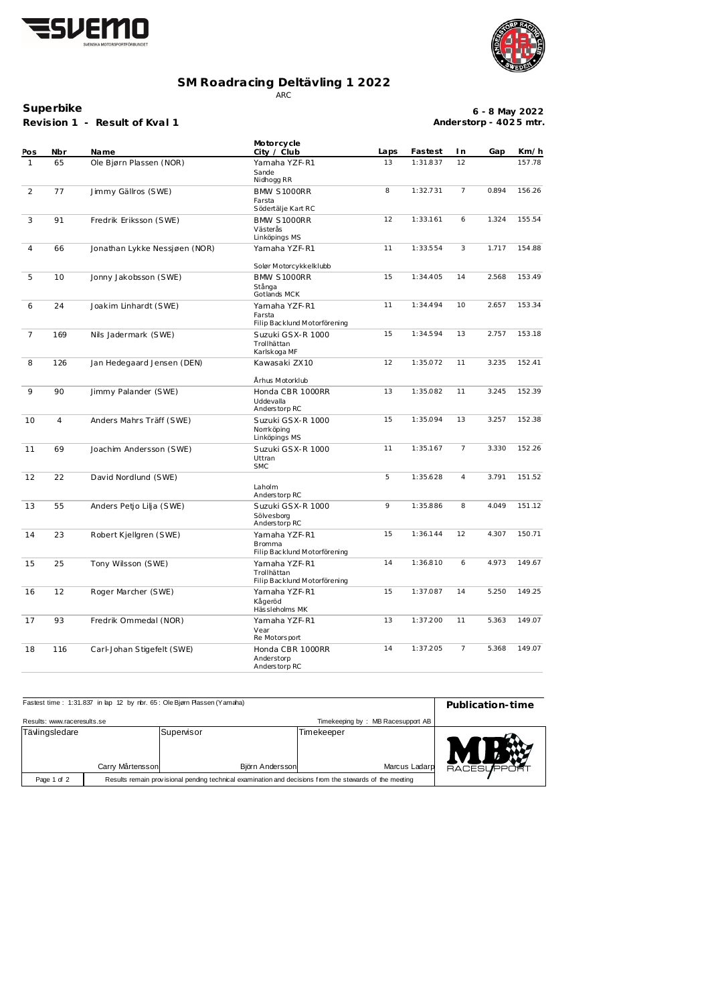



## **SM Roadracing Deltävling 1 2022** ARC

**Superbike**

**Revision 1 - Result of Kval 1**

| $6 - 8$ May 2022       |  |
|------------------------|--|
| Anderstorp - 4025 mtr. |  |

| Pos            | Nbr            | <b>Name</b>                   | Motorcycle<br>City / Club                                      | Laps           | Fastest  | I n            | Gap   | Km/h   |
|----------------|----------------|-------------------------------|----------------------------------------------------------------|----------------|----------|----------------|-------|--------|
| $\mathbf{1}$   | 65             | Ole Bjørn Plassen (NOR)       | Yamaha YZF-R1                                                  | 13             | 1:31.837 | 12             |       | 157.78 |
|                |                |                               | Sande<br>Nidhogg RR                                            |                |          |                |       |        |
| 2              | 77             | Jimmy Gällros (SWE)           | <b>BMW S1000RR</b><br>Farsta                                   | 8              | 1:32.731 | 7              | 0.894 | 156.26 |
|                |                |                               | Södertälje Kart RC                                             |                |          |                |       |        |
| 3              | 91             | Fredrik Eriksson (SWE)        | <b>BMW S1000RR</b><br>Västerås<br>Linköpings MS                | 12             | 1:33.161 | 6              | 1.324 | 155.54 |
| 4              | 66             | Jonathan Lykke Nessjøen (NOR) | Yamaha YZF-R1                                                  | 11             | 1:33.554 | 3              | 1.717 | 154.88 |
|                |                |                               | Solør Motorcykkelklubb                                         |                |          |                |       |        |
| 5              | 10             | Jonny Jakobsson (SWE)         | <b>BMW S1000RR</b><br>Stånga<br>Gotlands MCK                   | 15<br>1:34.405 |          | 14             | 2.568 | 153.49 |
| 6              | 24             | Joakim Linhardt (SWE)         | Yamaha YZF-R1<br>Farsta                                        | 11             | 1:34.494 | 10             | 2.657 | 153.34 |
| $\overline{7}$ | 169            | Nils Jadermark (SWE)          | Filip Backlund Motorförening<br>Suzuki GSX-R 1000              | 15             | 1:34.594 | 13             | 2.757 | 153.18 |
|                |                |                               | Trollhättan<br>Karlskoga MF                                    |                |          |                |       |        |
| 8              | 126            | Jan Hedegaard Jensen (DEN)    | Kawasaki ZX10                                                  | 12             | 1:35.072 | 11             | 3.235 | 152.41 |
|                |                |                               | Århus Motorklub                                                |                |          |                |       |        |
| 9              | 90             | Jimmy Palander (SWE)          | Honda CBR 1000RR<br>Uddevalla<br>Anderstorp RC                 | 13             | 1:35.082 | 11             | 3.245 | 152.39 |
| 10             | $\overline{4}$ | Anders Mahrs Träff (SWE)      | Suzuki GSX-R 1000<br>Norrköping<br>Linköpings MS               | 15             | 1:35.094 | 13             | 3.257 | 152.38 |
| 11             | 69             | Joachim Andersson (SWE)       | Suzuki GSX-R 1000<br>Uttran<br><b>SMC</b>                      | 11             |          | 7              | 3.330 | 152.26 |
| 12             | 22             | David Nordlund (SWE)          | Laholm<br>Anderstorp RC                                        | 5              | 1:35.628 | 4              | 3.791 | 151.52 |
| 13             | 55             | Anders Petjo Lilja (SWE)      | Suzuki GSX-R 1000<br>Sölvesborg<br>Anderstorp RC               | 9              | 1:35.886 | 8              | 4.049 | 151.12 |
| 14             | 23             | Robert Kjellgren (SWE)        | Yamaha YZF-R1<br><b>Bromma</b><br>Filip Backlund Motorförening | 15             | 1:36.144 | 12             | 4.307 | 150.71 |
| 15             | 25             | Tony Wilsson (SWE)            | Yamaha YZF-R1<br>Trollhättan<br>Filip Backlund Motorförening   | 14             | 1:36.810 | 6              | 4.973 | 149.67 |
| 16             | 12             | Roger Marcher (SWE)           | Yamaha YZF-R1<br>Kågeröd<br>Hässleholms MK                     | 15             | 1:37.087 | 14             | 5.250 | 149.25 |
| 17             | 93             | Fredrik Ommedal (NOR)         | Yamaha YZF-R1<br>Vear<br>Re Motorsport                         | 13             | 1:37.200 | 11             | 5.363 | 149.07 |
| 18             | 116            | Carl-Johan Stigefelt (SWE)    | Honda CBR 1000RR<br>Anderstorp<br>Anderstorp RC                | 14             | 1:37.205 | $\overline{7}$ | 5.368 | 149.07 |

| Fastest time: 1:31.837 in lap 12 by rbr. 65: Ole Bjørn Plassen (Yamaha)                                                |                  |                              |            | Publication-time                  |               |
|------------------------------------------------------------------------------------------------------------------------|------------------|------------------------------|------------|-----------------------------------|---------------|
| Results: www.raceresults.se                                                                                            |                  |                              |            | Timekeeping by: MB Racesupport AB |               |
| Tävlingsledare                                                                                                         | Carry Mårtensson | Supenisor<br>Björn Andersson | Timekeeper | Marcus Ladarp                     | <b>RACESU</b> |
| Results remain provisional pending technical examination and decisions from the stewards of the meeting<br>Page 1 of 2 |                  |                              |            |                                   |               |